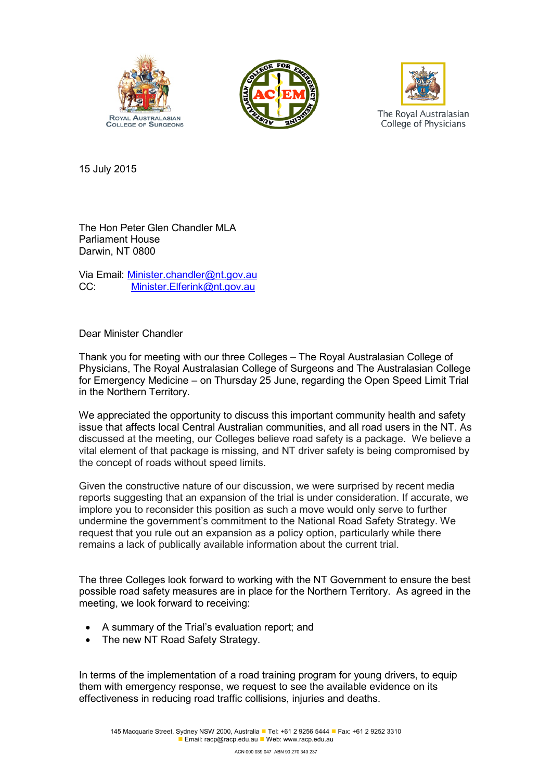





15 July 2015

The Hon Peter Glen Chandler MLA Parliament House Darwin, NT 0800

Via Email: Minister.chandler@nt.gov.au CC: [Minister.Elferink@nt.gov.au](mailto:Minister.Elferink@nt.gov.au)

Dear Minister Chandler

Thank you for meeting with our three Colleges – The Royal Australasian College of Physicians, The Royal Australasian College of Surgeons and The Australasian College for Emergency Medicine – on Thursday 25 June, regarding the Open Speed Limit Trial in the Northern Territory.

We appreciated the opportunity to discuss this important community health and safety issue that affects local Central Australian communities, and all road users in the NT. As discussed at the meeting, our Colleges believe road safety is a package. We believe a vital element of that package is missing, and NT driver safety is being compromised by the concept of roads without speed limits.

Given the constructive nature of our discussion, we were surprised by recent media reports suggesting that an expansion of the trial is under consideration. If accurate, we implore you to reconsider this position as such a move would only serve to further undermine the government's commitment to the National Road Safety Strategy. We request that you rule out an expansion as a policy option, particularly while there remains a lack of publically available information about the current trial.

The three Colleges look forward to working with the NT Government to ensure the best possible road safety measures are in place for the Northern Territory. As agreed in the meeting, we look forward to receiving:

- A summary of the Trial's evaluation report; and
- The new NT Road Safety Strategy.

In terms of the implementation of a road training program for young drivers, to equip them with emergency response, we request to see the available evidence on its effectiveness in reducing road traffic collisions, injuries and deaths.